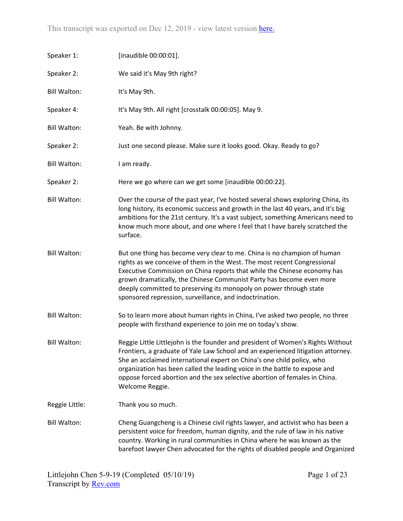| Speaker 1:          | [inaudible 00:00:01].                                                                                                                                                                                                                                                                                                                                                                                                                     |
|---------------------|-------------------------------------------------------------------------------------------------------------------------------------------------------------------------------------------------------------------------------------------------------------------------------------------------------------------------------------------------------------------------------------------------------------------------------------------|
| Speaker 2:          | We said it's May 9th right?                                                                                                                                                                                                                                                                                                                                                                                                               |
| <b>Bill Walton:</b> | It's May 9th.                                                                                                                                                                                                                                                                                                                                                                                                                             |
| Speaker 4:          | It's May 9th. All right [crosstalk 00:00:05]. May 9.                                                                                                                                                                                                                                                                                                                                                                                      |
| <b>Bill Walton:</b> | Yeah. Be with Johnny.                                                                                                                                                                                                                                                                                                                                                                                                                     |
| Speaker 2:          | Just one second please. Make sure it looks good. Okay. Ready to go?                                                                                                                                                                                                                                                                                                                                                                       |
| <b>Bill Walton:</b> | I am ready.                                                                                                                                                                                                                                                                                                                                                                                                                               |
| Speaker 2:          | Here we go where can we get some [inaudible 00:00:22].                                                                                                                                                                                                                                                                                                                                                                                    |
| <b>Bill Walton:</b> | Over the course of the past year, I've hosted several shows exploring China, its<br>long history, its economic success and growth in the last 40 years, and it's big<br>ambitions for the 21st century. It's a vast subject, something Americans need to<br>know much more about, and one where I feel that I have barely scratched the<br>surface.                                                                                       |
| <b>Bill Walton:</b> | But one thing has become very clear to me. China is no champion of human<br>rights as we conceive of them in the West. The most recent Congressional<br>Executive Commission on China reports that while the Chinese economy has<br>grown dramatically, the Chinese Communist Party has become even more<br>deeply committed to preserving its monopoly on power through state<br>sponsored repression, surveillance, and indoctrination. |
| <b>Bill Walton:</b> | So to learn more about human rights in China, I've asked two people, no three<br>people with firsthand experience to join me on today's show.                                                                                                                                                                                                                                                                                             |
| <b>Bill Walton:</b> | Reggie Little Littlejohn is the founder and president of Women's Rights Without<br>Frontiers, a graduate of Yale Law School and an experienced litigation attorney.<br>She an acclaimed international expert on China's one child policy, who<br>organization has been called the leading voice in the battle to expose and<br>oppose forced abortion and the sex selective abortion of females in China.<br>Welcome Reggie.              |
| Reggie Little:      | Thank you so much.                                                                                                                                                                                                                                                                                                                                                                                                                        |
| <b>Bill Walton:</b> | Cheng Guangcheng is a Chinese civil rights lawyer, and activist who has been a<br>persistent voice for freedom, human dignity, and the rule of law in his native<br>country. Working in rural communities in China where he was known as the<br>barefoot lawyer Chen advocated for the rights of disabled people and Organized                                                                                                            |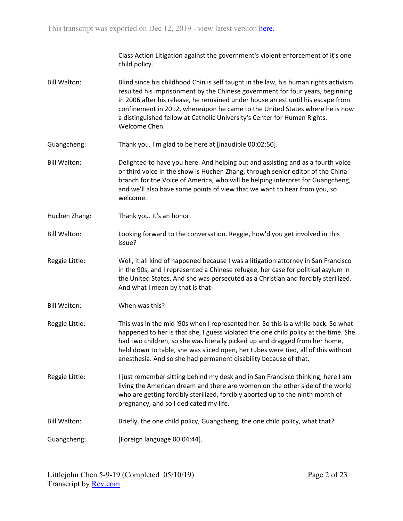Class Action Litigation against the government's violent enforcement of it's one child policy.

- Bill Walton: Blind since his childhood Chin is self taught in the law, his human rights activism resulted his imprisonment by the Chinese government for four years, beginning in 2006 after his release, he remained under house arrest until his escape from confinement in 2012, whereupon he came to the United States where he is now a distinguished fellow at Catholic University's Center for Human Rights. Welcome Chen.
- Guangcheng: Thank you. I'm glad to be here at [inaudible 00:02:50].
- Bill Walton: Delighted to have you here. And helping out and assisting and as a fourth voice or third voice in the show is Huchen Zhang, through senior editor of the China branch for the Voice of America, who will be helping interpret for Guangcheng, and we'll also have some points of view that we want to hear from you, so welcome.
- Huchen Zhang: Thank you. It's an honor.
- Bill Walton: Looking forward to the conversation. Reggie, how'd you get involved in this issue?
- Reggie Little: Well, it all kind of happened because I was a litigation attorney in San Francisco in the 90s, and I represented a Chinese refugee, her case for political asylum in the United States. And she was persecuted as a Christian and forcibly sterilized. And what I mean by that is that-
- Bill Walton: When was this?
- Reggie Little: This was in the mid '90s when I represented her. So this is a while back. So what happened to her is that she, I guess violated the one child policy at the time. She had two children, so she was literally picked up and dragged from her home, held down to table, she was sliced open, her tubes were tied, all of this without anesthesia. And so she had permanent disability because of that.
- Reggie Little: I just remember sitting behind my desk and in San Francisco thinking, here I am living the American dream and there are women on the other side of the world who are getting forcibly sterilized, forcibly aborted up to the ninth month of pregnancy, and so I dedicated my life.
- Bill Walton: Briefly, the one child policy, Guangcheng, the one child policy, what that?
- Guangcheng: [Foreign language 00:04:44].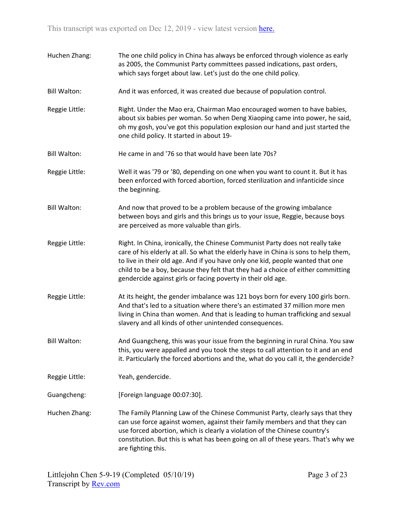| Huchen Zhang:       | The one child policy in China has always be enforced through violence as early<br>as 2005, the Communist Party committees passed indications, past orders,<br>which says forget about law. Let's just do the one child policy.                                                                                                                                                                             |
|---------------------|------------------------------------------------------------------------------------------------------------------------------------------------------------------------------------------------------------------------------------------------------------------------------------------------------------------------------------------------------------------------------------------------------------|
| <b>Bill Walton:</b> | And it was enforced, it was created due because of population control.                                                                                                                                                                                                                                                                                                                                     |
| Reggie Little:      | Right. Under the Mao era, Chairman Mao encouraged women to have babies,<br>about six babies per woman. So when Deng Xiaoping came into power, he said,<br>oh my gosh, you've got this population explosion our hand and just started the<br>one child policy. It started in about 19-                                                                                                                      |
| <b>Bill Walton:</b> | He came in and '76 so that would have been late 70s?                                                                                                                                                                                                                                                                                                                                                       |
| Reggie Little:      | Well it was '79 or '80, depending on one when you want to count it. But it has<br>been enforced with forced abortion, forced sterilization and infanticide since<br>the beginning.                                                                                                                                                                                                                         |
| <b>Bill Walton:</b> | And now that proved to be a problem because of the growing imbalance<br>between boys and girls and this brings us to your issue, Reggie, because boys<br>are perceived as more valuable than girls.                                                                                                                                                                                                        |
| Reggie Little:      | Right. In China, ironically, the Chinese Communist Party does not really take<br>care of his elderly at all. So what the elderly have in China is sons to help them,<br>to live in their old age. And if you have only one kid, people wanted that one<br>child to be a boy, because they felt that they had a choice of either committing<br>gendercide against girls or facing poverty in their old age. |
| Reggie Little:      | At its height, the gender imbalance was 121 boys born for every 100 girls born.<br>And that's led to a situation where there's an estimated 37 million more men<br>living in China than women. And that is leading to human trafficking and sexual<br>slavery and all kinds of other unintended consequences.                                                                                              |
| <b>Bill Walton:</b> | And Guangcheng, this was your issue from the beginning in rural China. You saw<br>this, you were appalled and you took the steps to call attention to it and an end<br>it. Particularly the forced abortions and the, what do you call it, the gendercide?                                                                                                                                                 |
| Reggie Little:      | Yeah, gendercide.                                                                                                                                                                                                                                                                                                                                                                                          |
| Guangcheng:         | [Foreign language 00:07:30].                                                                                                                                                                                                                                                                                                                                                                               |
| Huchen Zhang:       | The Family Planning Law of the Chinese Communist Party, clearly says that they<br>can use force against women, against their family members and that they can<br>use forced abortion, which is clearly a violation of the Chinese country's<br>constitution. But this is what has been going on all of these years. That's why we<br>are fighting this.                                                    |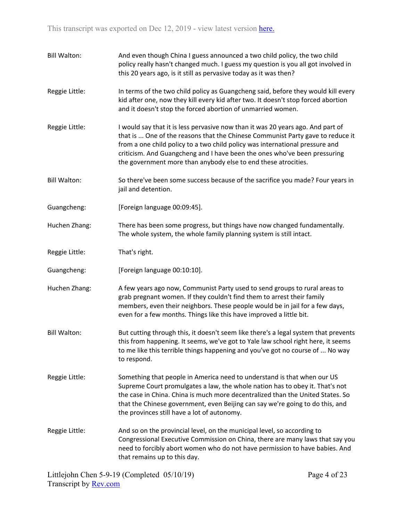Bill Walton: And even though China I guess announced a two child policy, the two child policy really hasn't changed much. I guess my question is you all got involved in this 20 years ago, is it still as pervasive today as it was then? Reggie Little: In terms of the two child policy as Guangcheng said, before they would kill every kid after one, now they kill every kid after two. It doesn't stop forced abortion and it doesn't stop the forced abortion of unmarried women. Reggie Little: I would say that it is less pervasive now than it was 20 years ago. And part of that is ... One of the reasons that the Chinese Communist Party gave to reduce it from a one child policy to a two child policy was international pressure and criticism. And Guangcheng and I have been the ones who've been pressuring the government more than anybody else to end these atrocities. Bill Walton: So there've been some success because of the sacrifice you made? Four years in jail and detention. Guangcheng: [Foreign language 00:09:45]. Huchen Zhang: There has been some progress, but things have now changed fundamentally. The whole system, the whole family planning system is still intact. Reggie Little: That's right. Guangcheng: [Foreign language 00:10:10]. Huchen Zhang: A few years ago now, Communist Party used to send groups to rural areas to grab pregnant women. If they couldn't find them to arrest their family members, even their neighbors. These people would be in jail for a few days, even for a few months. Things like this have improved a little bit. Bill Walton: But cutting through this, it doesn't seem like there's a legal system that prevents this from happening. It seems, we've got to Yale law school right here, it seems to me like this terrible things happening and you've got no course of ... No way to respond. Reggie Little: Something that people in America need to understand is that when our US Supreme Court promulgates a law, the whole nation has to obey it. That's not the case in China. China is much more decentralized than the United States. So that the Chinese government, even Beijing can say we're going to do this, and the provinces still have a lot of autonomy. Reggie Little: And so on the provincial level, on the municipal level, so according to Congressional Executive Commission on China, there are many laws that say you need to forcibly abort women who do not have permission to have babies. And that remains up to this day.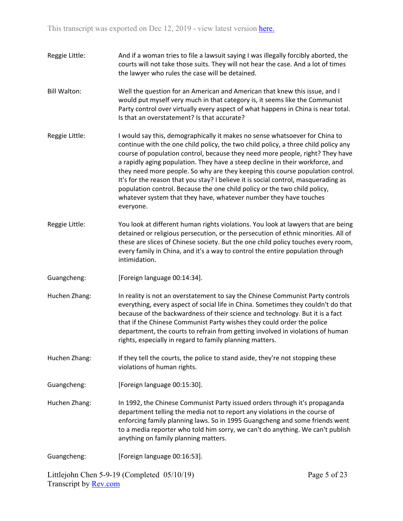- Reggie Little: And if a woman tries to file a lawsuit saying I was illegally forcibly aborted, the courts will not take those suits. They will not hear the case. And a lot of times the lawyer who rules the case will be detained. Bill Walton: Well the question for an American and American that knew this issue, and I would put myself very much in that category is, it seems like the Communist Party control over virtually every aspect of what happens in China is near total. Is that an overstatement? Is that accurate? Reggie Little: I would say this, demographically it makes no sense whatsoever for China to continue with the one child policy, the two child policy, a three child policy any course of population control, because they need more people, right? They have a rapidly aging population. They have a steep decline in their workforce, and they need more people. So why are they keeping this course population control. It's for the reason that you stay? I believe it is social control, masquerading as population control. Because the one child policy or the two child policy, whatever system that they have, whatever number they have touches everyone. Reggie Little: You look at different human rights violations. You look at lawyers that are being
- detained or religious persecution, or the persecution of ethnic minorities. All of these are slices of Chinese society. But the one child policy touches every room, every family in China, and it's a way to control the entire population through intimidation.
- Guangcheng: [Foreign language 00:14:34].
- Huchen Zhang: In reality is not an overstatement to say the Chinese Communist Party controls everything, every aspect of social life in China. Sometimes they couldn't do that because of the backwardness of their science and technology. But it is a fact that if the Chinese Communist Party wishes they could order the police department, the courts to refrain from getting involved in violations of human rights, especially in regard to family planning matters.
- Huchen Zhang: If they tell the courts, the police to stand aside, they're not stopping these violations of human rights.
- Guangcheng: [Foreign language 00:15:30].
- Huchen Zhang: In 1992, the Chinese Communist Party issued orders through it's propaganda department telling the media not to report any violations in the course of enforcing family planning laws. So in 1995 Guangcheng and some friends went to a media reporter who told him sorry, we can't do anything. We can't publish anything on family planning matters.
- Guangcheng: [Foreign language 00:16:53].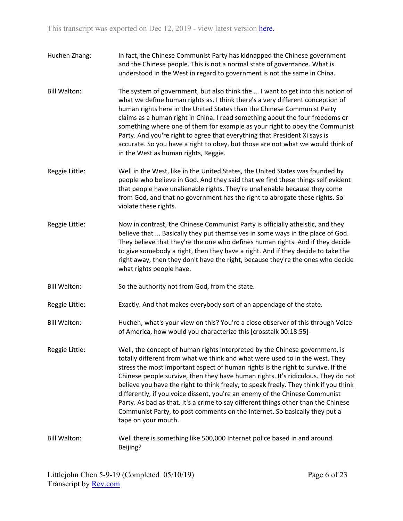- Huchen Zhang: In fact, the Chinese Communist Party has kidnapped the Chinese government and the Chinese people. This is not a normal state of governance. What is understood in the West in regard to government is not the same in China.
- Bill Walton: The system of government, but also think the ... I want to get into this notion of what we define human rights as. I think there's a very different conception of human rights here in the United States than the Chinese Communist Party claims as a human right in China. I read something about the four freedoms or something where one of them for example as your right to obey the Communist Party. And you're right to agree that everything that President Xi says is accurate. So you have a right to obey, but those are not what we would think of in the West as human rights, Reggie.
- Reggie Little: Well in the West, like in the United States, the United States was founded by people who believe in God. And they said that we find these things self evident that people have unalienable rights. They're unalienable because they come from God, and that no government has the right to abrogate these rights. So violate these rights.
- Reggie Little: Now in contrast, the Chinese Communist Party is officially atheistic, and they believe that ... Basically they put themselves in some ways in the place of God. They believe that they're the one who defines human rights. And if they decide to give somebody a right, then they have a right. And if they decide to take the right away, then they don't have the right, because they're the ones who decide what rights people have.
- Bill Walton: So the authority not from God, from the state.
- Reggie Little: Exactly. And that makes everybody sort of an appendage of the state.
- Bill Walton: Huchen, what's your view on this? You're a close observer of this through Voice of America, how would you characterize this [crosstalk 00:18:55]-
- Reggie Little: Well, the concept of human rights interpreted by the Chinese government, is totally different from what we think and what were used to in the west. They stress the most important aspect of human rights is the right to survive. If the Chinese people survive, then they have human rights. It's ridiculous. They do not believe you have the right to think freely, to speak freely. They think if you think differently, if you voice dissent, you're an enemy of the Chinese Communist Party. As bad as that. It's a crime to say different things other than the Chinese Communist Party, to post comments on the Internet. So basically they put a tape on your mouth.
- Bill Walton: Well there is something like 500,000 Internet police based in and around Beijing?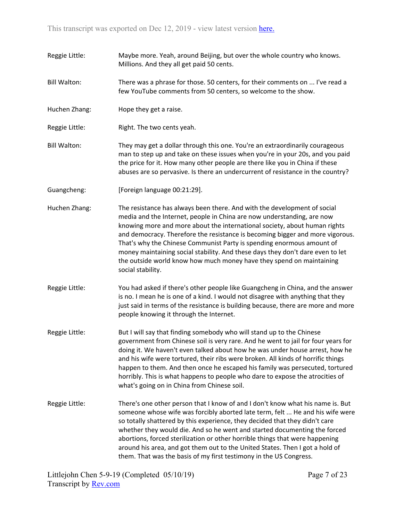- Reggie Little: Maybe more. Yeah, around Beijing, but over the whole country who knows. Millions. And they all get paid 50 cents.
- Bill Walton: There was a phrase for those. 50 centers, for their comments on ... I've read a few YouTube comments from 50 centers, so welcome to the show.
- Huchen Zhang: Hope they get a raise.
- Reggie Little: Right. The two cents yeah.
- Bill Walton: They may get a dollar through this one. You're an extraordinarily courageous man to step up and take on these issues when you're in your 20s, and you paid the price for it. How many other people are there like you in China if these abuses are so pervasive. Is there an undercurrent of resistance in the country?
- Guangcheng: [Foreign language 00:21:29].
- Huchen Zhang: The resistance has always been there. And with the development of social media and the Internet, people in China are now understanding, are now knowing more and more about the international society, about human rights and democracy. Therefore the resistance is becoming bigger and more vigorous. That's why the Chinese Communist Party is spending enormous amount of money maintaining social stability. And these days they don't dare even to let the outside world know how much money have they spend on maintaining social stability.
- Reggie Little: You had asked if there's other people like Guangcheng in China, and the answer is no. I mean he is one of a kind. I would not disagree with anything that they just said in terms of the resistance is building because, there are more and more people knowing it through the Internet.
- Reggie Little: But I will say that finding somebody who will stand up to the Chinese government from Chinese soil is very rare. And he went to jail for four years for doing it. We haven't even talked about how he was under house arrest, how he and his wife were tortured, their ribs were broken. All kinds of horrific things happen to them. And then once he escaped his family was persecuted, tortured horribly. This is what happens to people who dare to expose the atrocities of what's going on in China from Chinese soil.
- Reggie Little: There's one other person that I know of and I don't know what his name is. But someone whose wife was forcibly aborted late term, felt ... He and his wife were so totally shattered by this experience, they decided that they didn't care whether they would die. And so he went and started documenting the forced abortions, forced sterilization or other horrible things that were happening around his area, and got them out to the United States. Then I got a hold of them. That was the basis of my first testimony in the US Congress.

Littlejohn Chen 5-9-19 (Completed 05/10/19) Transcript by **Rev.com**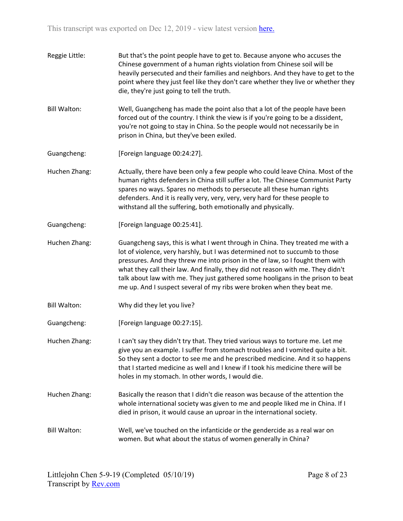- Reggie Little: But that's the point people have to get to. Because anyone who accuses the Chinese government of a human rights violation from Chinese soil will be heavily persecuted and their families and neighbors. And they have to get to the point where they just feel like they don't care whether they live or whether they die, they're just going to tell the truth.
- Bill Walton: Well, Guangcheng has made the point also that a lot of the people have been forced out of the country. I think the view is if you're going to be a dissident, you're not going to stay in China. So the people would not necessarily be in prison in China, but they've been exiled.
- Guangcheng: [Foreign language 00:24:27].
- Huchen Zhang: Actually, there have been only a few people who could leave China. Most of the human rights defenders in China still suffer a lot. The Chinese Communist Party spares no ways. Spares no methods to persecute all these human rights defenders. And it is really very, very, very, very hard for these people to withstand all the suffering, both emotionally and physically.
- Guangcheng: [Foreign language 00:25:41].
- Huchen Zhang: Guangcheng says, this is what I went through in China. They treated me with a lot of violence, very harshly, but I was determined not to succumb to those pressures. And they threw me into prison in the of law, so I fought them with what they call their law. And finally, they did not reason with me. They didn't talk about law with me. They just gathered some hooligans in the prison to beat me up. And I suspect several of my ribs were broken when they beat me.
- Bill Walton: Why did they let you live?
- Guangcheng: [Foreign language 00:27:15].
- Huchen Zhang: I can't say they didn't try that. They tried various ways to torture me. Let me give you an example. I suffer from stomach troubles and I vomited quite a bit. So they sent a doctor to see me and he prescribed medicine. And it so happens that I started medicine as well and I knew if I took his medicine there will be holes in my stomach. In other words, I would die.
- Huchen Zhang: Basically the reason that I didn't die reason was because of the attention the whole international society was given to me and people liked me in China. If I died in prison, it would cause an uproar in the international society.
- Bill Walton: Well, we've touched on the infanticide or the gendercide as a real war on women. But what about the status of women generally in China?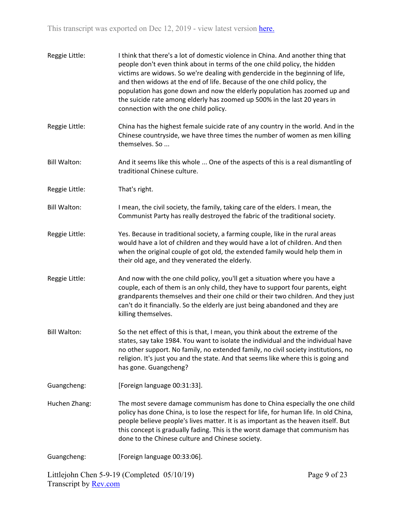| Reggie Little:      | I think that there's a lot of domestic violence in China. And another thing that<br>people don't even think about in terms of the one child policy, the hidden<br>victims are widows. So we're dealing with gendercide in the beginning of life,<br>and then widows at the end of life. Because of the one child policy, the<br>population has gone down and now the elderly population has zoomed up and<br>the suicide rate among elderly has zoomed up 500% in the last 20 years in<br>connection with the one child policy. |
|---------------------|---------------------------------------------------------------------------------------------------------------------------------------------------------------------------------------------------------------------------------------------------------------------------------------------------------------------------------------------------------------------------------------------------------------------------------------------------------------------------------------------------------------------------------|
| Reggie Little:      | China has the highest female suicide rate of any country in the world. And in the<br>Chinese countryside, we have three times the number of women as men killing<br>themselves. So                                                                                                                                                                                                                                                                                                                                              |
| <b>Bill Walton:</b> | And it seems like this whole  One of the aspects of this is a real dismantling of<br>traditional Chinese culture.                                                                                                                                                                                                                                                                                                                                                                                                               |
| Reggie Little:      | That's right.                                                                                                                                                                                                                                                                                                                                                                                                                                                                                                                   |
| <b>Bill Walton:</b> | I mean, the civil society, the family, taking care of the elders. I mean, the<br>Communist Party has really destroyed the fabric of the traditional society.                                                                                                                                                                                                                                                                                                                                                                    |
| Reggie Little:      | Yes. Because in traditional society, a farming couple, like in the rural areas<br>would have a lot of children and they would have a lot of children. And then<br>when the original couple of got old, the extended family would help them in<br>their old age, and they venerated the elderly.                                                                                                                                                                                                                                 |
| Reggie Little:      | And now with the one child policy, you'll get a situation where you have a<br>couple, each of them is an only child, they have to support four parents, eight<br>grandparents themselves and their one child or their two children. And they just<br>can't do it financially. So the elderly are just being abandoned and they are<br>killing themselves.                                                                                                                                                                       |
| <b>Bill Walton:</b> | So the net effect of this is that, I mean, you think about the extreme of the<br>states, say take 1984. You want to isolate the individual and the individual have<br>no other support. No family, no extended family, no civil society institutions, no<br>religion. It's just you and the state. And that seems like where this is going and<br>has gone. Guangcheng?                                                                                                                                                         |
| Guangcheng:         | [Foreign language 00:31:33].                                                                                                                                                                                                                                                                                                                                                                                                                                                                                                    |
| Huchen Zhang:       | The most severe damage communism has done to China especially the one child<br>policy has done China, is to lose the respect for life, for human life. In old China,<br>people believe people's lives matter. It is as important as the heaven itself. But<br>this concept is gradually fading. This is the worst damage that communism has<br>done to the Chinese culture and Chinese society.                                                                                                                                 |
| Guangcheng:         | [Foreign language 00:33:06].                                                                                                                                                                                                                                                                                                                                                                                                                                                                                                    |
|                     |                                                                                                                                                                                                                                                                                                                                                                                                                                                                                                                                 |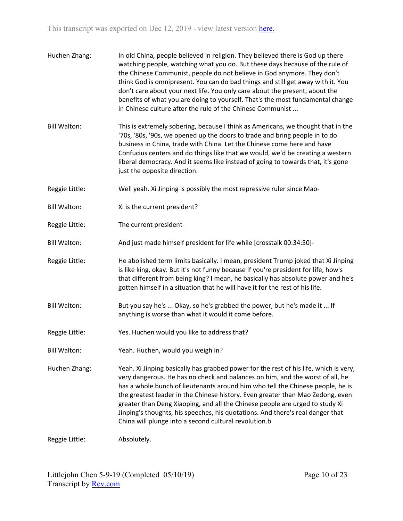- Huchen Zhang: In old China, people believed in religion. They believed there is God up there watching people, watching what you do. But these days because of the rule of the Chinese Communist, people do not believe in God anymore. They don't think God is omnipresent. You can do bad things and still get away with it. You don't care about your next life. You only care about the present, about the benefits of what you are doing to yourself. That's the most fundamental change in Chinese culture after the rule of the Chinese Communist ...
- Bill Walton: This is extremely sobering, because I think as Americans, we thought that in the '70s, '80s, '90s, we opened up the doors to trade and bring people in to do business in China, trade with China. Let the Chinese come here and have Confucius centers and do things like that we would, we'd be creating a western liberal democracy. And it seems like instead of going to towards that, it's gone just the opposite direction.
- Reggie Little: Well yeah. Xi Jinping is possibly the most repressive ruler since Mao-
- Bill Walton: Xi is the current president?
- Reggie Little: The current president-
- Bill Walton: And just made himself president for life while [crosstalk 00:34:50]-
- Reggie Little: He abolished term limits basically. I mean, president Trump joked that Xi Jinping is like king, okay. But it's not funny because if you're president for life, how's that different from being king? I mean, he basically has absolute power and he's gotten himself in a situation that he will have it for the rest of his life.
- Bill Walton: But you say he's ... Okay, so he's grabbed the power, but he's made it ... If anything is worse than what it would it come before.
- Reggie Little: Yes. Huchen would you like to address that?
- Bill Walton: Yeah. Huchen, would you weigh in?
- Huchen Zhang: Yeah. Xi Jinping basically has grabbed power for the rest of his life, which is very, very dangerous. He has no check and balances on him, and the worst of all, he has a whole bunch of lieutenants around him who tell the Chinese people, he is the greatest leader in the Chinese history. Even greater than Mao Zedong, even greater than Deng Xiaoping, and all the Chinese people are urged to study Xi Jinping's thoughts, his speeches, his quotations. And there's real danger that China will plunge into a second cultural revolution.b

Reggie Little: Absolutely.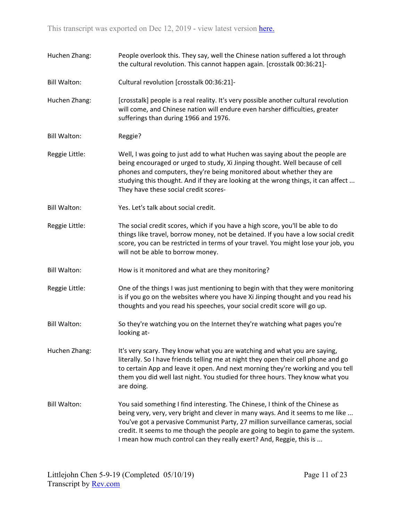Huchen Zhang: People overlook this. They say, well the Chinese nation suffered a lot through the cultural revolution. This cannot happen again. [crosstalk 00:36:21]- Bill Walton: Cultural revolution [crosstalk 00:36:21]- Huchen Zhang: [crosstalk] people is a real reality. It's very possible another cultural revolution will come, and Chinese nation will endure even harsher difficulties, greater sufferings than during 1966 and 1976. Bill Walton: Reggie? Reggie Little: Well, I was going to just add to what Huchen was saying about the people are being encouraged or urged to study, Xi Jinping thought. Well because of cell phones and computers, they're being monitored about whether they are studying this thought. And if they are looking at the wrong things, it can affect ... They have these social credit scores-Bill Walton: Yes. Let's talk about social credit. Reggie Little: The social credit scores, which if you have a high score, you'll be able to do things like travel, borrow money, not be detained. If you have a low social credit score, you can be restricted in terms of your travel. You might lose your job, you will not be able to borrow money. Bill Walton: How is it monitored and what are they monitoring? Reggie Little: One of the things I was just mentioning to begin with that they were monitoring is if you go on the websites where you have Xi Jinping thought and you read his thoughts and you read his speeches, your social credit score will go up. Bill Walton: So they're watching you on the Internet they're watching what pages you're looking at-Huchen Zhang: It's very scary. They know what you are watching and what you are saying, literally. So I have friends telling me at night they open their cell phone and go to certain App and leave it open. And next morning they're working and you tell them you did well last night. You studied for three hours. They know what you are doing. Bill Walton: You said something I find interesting. The Chinese, I think of the Chinese as being very, very, very bright and clever in many ways. And it seems to me like ... You've got a pervasive Communist Party, 27 million surveillance cameras, social credit. It seems to me though the people are going to begin to game the system. I mean how much control can they really exert? And, Reggie, this is ...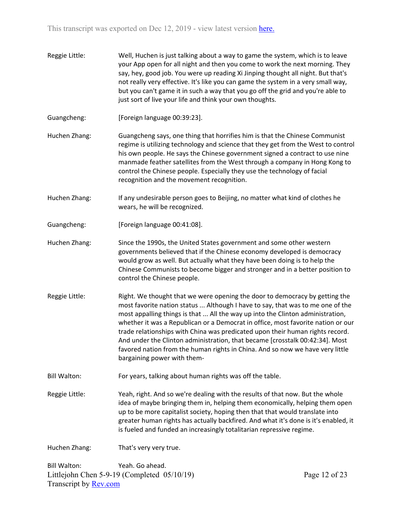- Reggie Little: Well, Huchen is just talking about a way to game the system, which is to leave your App open for all night and then you come to work the next morning. They say, hey, good job. You were up reading Xi Jinping thought all night. But that's not really very effective. It's like you can game the system in a very small way, but you can't game it in such a way that you go off the grid and you're able to just sort of live your life and think your own thoughts.
- Guangcheng: [Foreign language 00:39:23].
- Huchen Zhang: Guangcheng says, one thing that horrifies him is that the Chinese Communist regime is utilizing technology and science that they get from the West to control his own people. He says the Chinese government signed a contract to use nine manmade feather satellites from the West through a company in Hong Kong to control the Chinese people. Especially they use the technology of facial recognition and the movement recognition.
- Huchen Zhang: If any undesirable person goes to Beijing, no matter what kind of clothes he wears, he will be recognized.
- Guangcheng: [Foreign language 00:41:08].
- Huchen Zhang: Since the 1990s, the United States government and some other western governments believed that if the Chinese economy developed is democracy would grow as well. But actually what they have been doing is to help the Chinese Communists to become bigger and stronger and in a better position to control the Chinese people.
- Reggie Little: Right. We thought that we were opening the door to democracy by getting the most favorite nation status ... Although I have to say, that was to me one of the most appalling things is that ... All the way up into the Clinton administration, whether it was a Republican or a Democrat in office, most favorite nation or our trade relationships with China was predicated upon their human rights record. And under the Clinton administration, that became [crosstalk 00:42:34]. Most favored nation from the human rights in China. And so now we have very little bargaining power with them-
- Bill Walton: For years, talking about human rights was off the table.
- Reggie Little: Yeah, right. And so we're dealing with the results of that now. But the whole idea of maybe bringing them in, helping them economically, helping them open up to be more capitalist society, hoping then that that would translate into greater human rights has actually backfired. And what it's done is it's enabled, it is fueled and funded an increasingly totalitarian repressive regime.

Huchen Zhang: That's very very true.

Littlejohn Chen 5-9-19 (Completed 05/10/19) Transcript by [Rev.com](https://www.rev.com/) Bill Walton: Yeah. Go ahead.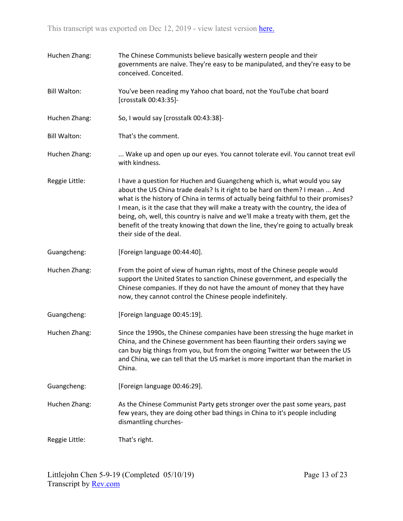| Huchen Zhang:       | The Chinese Communists believe basically western people and their<br>governments are naïve. They're easy to be manipulated, and they're easy to be<br>conceived. Conceited.                                                                                                                                                                                                                                                                                                                                                              |
|---------------------|------------------------------------------------------------------------------------------------------------------------------------------------------------------------------------------------------------------------------------------------------------------------------------------------------------------------------------------------------------------------------------------------------------------------------------------------------------------------------------------------------------------------------------------|
| <b>Bill Walton:</b> | You've been reading my Yahoo chat board, not the YouTube chat board<br>[crosstalk 00:43:35]-                                                                                                                                                                                                                                                                                                                                                                                                                                             |
| Huchen Zhang:       | So, I would say [crosstalk 00:43:38]-                                                                                                                                                                                                                                                                                                                                                                                                                                                                                                    |
| <b>Bill Walton:</b> | That's the comment.                                                                                                                                                                                                                                                                                                                                                                                                                                                                                                                      |
| Huchen Zhang:       | Wake up and open up our eyes. You cannot tolerate evil. You cannot treat evil<br>with kindness.                                                                                                                                                                                                                                                                                                                                                                                                                                          |
| Reggie Little:      | I have a question for Huchen and Guangcheng which is, what would you say<br>about the US China trade deals? Is it right to be hard on them? I mean  And<br>what is the history of China in terms of actually being faithful to their promises?<br>I mean, is it the case that they will make a treaty with the country, the idea of<br>being, oh, well, this country is naïve and we'll make a treaty with them, get the<br>benefit of the treaty knowing that down the line, they're going to actually break<br>their side of the deal. |
| Guangcheng:         | [Foreign language 00:44:40].                                                                                                                                                                                                                                                                                                                                                                                                                                                                                                             |
| Huchen Zhang:       | From the point of view of human rights, most of the Chinese people would<br>support the United States to sanction Chinese government, and especially the<br>Chinese companies. If they do not have the amount of money that they have<br>now, they cannot control the Chinese people indefinitely.                                                                                                                                                                                                                                       |
| Guangcheng:         | [Foreign language 00:45:19].                                                                                                                                                                                                                                                                                                                                                                                                                                                                                                             |
| Huchen Zhang:       | Since the 1990s, the Chinese companies have been stressing the huge market in<br>China, and the Chinese government has been flaunting their orders saying we<br>can buy big things from you, but from the ongoing Twitter war between the US<br>and China, we can tell that the US market is more important than the market in<br>China.                                                                                                                                                                                                 |
| Guangcheng:         | [Foreign language 00:46:29].                                                                                                                                                                                                                                                                                                                                                                                                                                                                                                             |
| Huchen Zhang:       | As the Chinese Communist Party gets stronger over the past some years, past<br>few years, they are doing other bad things in China to it's people including<br>dismantling churches-                                                                                                                                                                                                                                                                                                                                                     |
| Reggie Little:      | That's right.                                                                                                                                                                                                                                                                                                                                                                                                                                                                                                                            |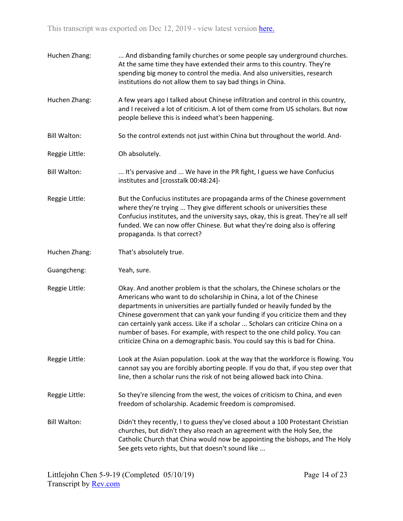Huchen Zhang: ... And disbanding family churches or some people say underground churches. At the same time they have extended their arms to this country. They're spending big money to control the media. And also universities, research institutions do not allow them to say bad things in China. Huchen Zhang: A few years ago I talked about Chinese infiltration and control in this country, and I received a lot of criticism. A lot of them come from US scholars. But now people believe this is indeed what's been happening. Bill Walton: So the control extends not just within China but throughout the world. And-Reggie Little: Oh absolutely. Bill Walton: ... It's pervasive and ... We have in the PR fight, I guess we have Confucius institutes and [crosstalk 00:48:24]- Reggie Little: But the Confucius institutes are propaganda arms of the Chinese government where they're trying ... They give different schools or universities these Confucius institutes, and the university says, okay, this is great. They're all self funded. We can now offer Chinese. But what they're doing also is offering propaganda. Is that correct? Huchen Zhang: That's absolutely true. Guangcheng: Yeah, sure. Reggie Little: Okay. And another problem is that the scholars, the Chinese scholars or the Americans who want to do scholarship in China, a lot of the Chinese departments in universities are partially funded or heavily funded by the Chinese government that can yank your funding if you criticize them and they can certainly yank access. Like if a scholar ... Scholars can criticize China on a number of bases. For example, with respect to the one child policy. You can criticize China on a demographic basis. You could say this is bad for China. Reggie Little: Look at the Asian population. Look at the way that the workforce is flowing. You cannot say you are forcibly aborting people. If you do that, if you step over that line, then a scholar runs the risk of not being allowed back into China. Reggie Little: So they're silencing from the west, the voices of criticism to China, and even freedom of scholarship. Academic freedom is compromised. Bill Walton: Didn't they recently, I to guess they've closed about a 100 Protestant Christian churches, but didn't they also reach an agreement with the Holy See, the Catholic Church that China would now be appointing the bishops, and The Holy See gets veto rights, but that doesn't sound like ...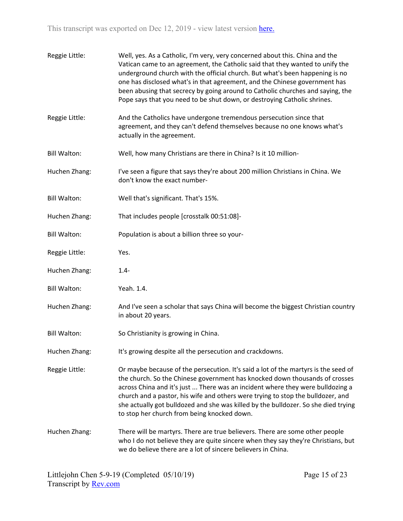| Reggie Little:      | Well, yes. As a Catholic, I'm very, very concerned about this. China and the<br>Vatican came to an agreement, the Catholic said that they wanted to unify the<br>underground church with the official church. But what's been happening is no<br>one has disclosed what's in that agreement, and the Chinese government has<br>been abusing that secrecy by going around to Catholic churches and saying, the<br>Pope says that you need to be shut down, or destroying Catholic shrines. |
|---------------------|-------------------------------------------------------------------------------------------------------------------------------------------------------------------------------------------------------------------------------------------------------------------------------------------------------------------------------------------------------------------------------------------------------------------------------------------------------------------------------------------|
| Reggie Little:      | And the Catholics have undergone tremendous persecution since that<br>agreement, and they can't defend themselves because no one knows what's<br>actually in the agreement.                                                                                                                                                                                                                                                                                                               |
| <b>Bill Walton:</b> | Well, how many Christians are there in China? Is it 10 million-                                                                                                                                                                                                                                                                                                                                                                                                                           |
| Huchen Zhang:       | I've seen a figure that says they're about 200 million Christians in China. We<br>don't know the exact number-                                                                                                                                                                                                                                                                                                                                                                            |
| <b>Bill Walton:</b> | Well that's significant. That's 15%.                                                                                                                                                                                                                                                                                                                                                                                                                                                      |
| Huchen Zhang:       | That includes people [crosstalk 00:51:08]-                                                                                                                                                                                                                                                                                                                                                                                                                                                |
| <b>Bill Walton:</b> | Population is about a billion three so your-                                                                                                                                                                                                                                                                                                                                                                                                                                              |
| Reggie Little:      | Yes.                                                                                                                                                                                                                                                                                                                                                                                                                                                                                      |
| Huchen Zhang:       | $1.4 -$                                                                                                                                                                                                                                                                                                                                                                                                                                                                                   |
| <b>Bill Walton:</b> | Yeah. 1.4.                                                                                                                                                                                                                                                                                                                                                                                                                                                                                |
| Huchen Zhang:       | And I've seen a scholar that says China will become the biggest Christian country<br>in about 20 years.                                                                                                                                                                                                                                                                                                                                                                                   |
| <b>Bill Walton:</b> | So Christianity is growing in China.                                                                                                                                                                                                                                                                                                                                                                                                                                                      |
| Huchen Zhang:       | It's growing despite all the persecution and crackdowns.                                                                                                                                                                                                                                                                                                                                                                                                                                  |
| Reggie Little:      | Or maybe because of the persecution. It's said a lot of the martyrs is the seed of<br>the church. So the Chinese government has knocked down thousands of crosses<br>across China and it's just  There was an incident where they were bulldozing a<br>church and a pastor, his wife and others were trying to stop the bulldozer, and<br>she actually got bulldozed and she was killed by the bulldozer. So she died trying<br>to stop her church from being knocked down.               |
| Huchen Zhang:       | There will be martyrs. There are true believers. There are some other people<br>who I do not believe they are quite sincere when they say they're Christians, but<br>we do believe there are a lot of sincere believers in China.                                                                                                                                                                                                                                                         |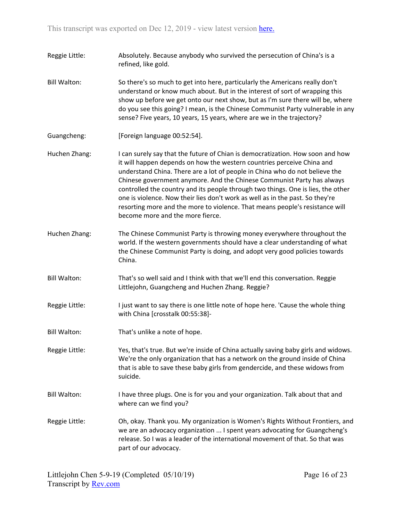- Reggie Little: Absolutely. Because anybody who survived the persecution of China's is a refined, like gold.
- Bill Walton: So there's so much to get into here, particularly the Americans really don't understand or know much about. But in the interest of sort of wrapping this show up before we get onto our next show, but as I'm sure there will be, where do you see this going? I mean, is the Chinese Communist Party vulnerable in any sense? Five years, 10 years, 15 years, where are we in the trajectory?
- Guangcheng: [Foreign language 00:52:54].
- Huchen Zhang: I can surely say that the future of Chian is democratization. How soon and how it will happen depends on how the western countries perceive China and understand China. There are a lot of people in China who do not believe the Chinese government anymore. And the Chinese Communist Party has always controlled the country and its people through two things. One is lies, the other one is violence. Now their lies don't work as well as in the past. So they're resorting more and the more to violence. That means people's resistance will become more and the more fierce.
- Huchen Zhang: The Chinese Communist Party is throwing money everywhere throughout the world. If the western governments should have a clear understanding of what the Chinese Communist Party is doing, and adopt very good policies towards China.
- Bill Walton: That's so well said and I think with that we'll end this conversation. Reggie Littlejohn, Guangcheng and Huchen Zhang. Reggie?
- Reggie Little: I just want to say there is one little note of hope here. 'Cause the whole thing with China [crosstalk 00:55:38]-
- Bill Walton: That's unlike a note of hope.
- Reggie Little: Yes, that's true. But we're inside of China actually saving baby girls and widows. We're the only organization that has a network on the ground inside of China that is able to save these baby girls from gendercide, and these widows from suicide.
- Bill Walton: I have three plugs. One is for you and your organization. Talk about that and where can we find you?
- Reggie Little: Oh, okay. Thank you. My organization is Women's Rights Without Frontiers, and we are an advocacy organization ... I spent years advocating for Guangcheng's release. So I was a leader of the international movement of that. So that was part of our advocacy.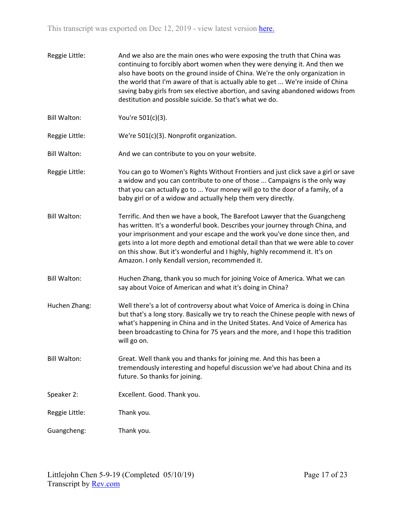Reggie Little: And we also are the main ones who were exposing the truth that China was continuing to forcibly abort women when they were denying it. And then we also have boots on the ground inside of China. We're the only organization in the world that I'm aware of that is actually able to get ... We're inside of China saving baby girls from sex elective abortion, and saving abandoned widows from destitution and possible suicide. So that's what we do. Bill Walton: You're 501(c)(3). Reggie Little: We're 501(c)(3). Nonprofit organization. Bill Walton: And we can contribute to you on your website. Reggie Little: You can go to Women's Rights Without Frontiers and just click save a girl or save a widow and you can contribute to one of those ... Campaigns is the only way that you can actually go to ... Your money will go to the door of a family, of a baby girl or of a widow and actually help them very directly. Bill Walton: Terrific. And then we have a book, The Barefoot Lawyer that the Guangcheng has written. It's a wonderful book. Describes your journey through China, and your imprisonment and your escape and the work you've done since then, and gets into a lot more depth and emotional detail than that we were able to cover on this show. But it's wonderful and I highly, highly recommend it. It's on Amazon. I only Kendall version, recommended it. Bill Walton: Huchen Zhang, thank you so much for joining Voice of America. What we can say about Voice of American and what it's doing in China? Huchen Zhang: Well there's a lot of controversy about what Voice of America is doing in China but that's a long story. Basically we try to reach the Chinese people with news of what's happening in China and in the United States. And Voice of America has been broadcasting to China for 75 years and the more, and I hope this tradition will go on. Bill Walton: Great. Well thank you and thanks for joining me. And this has been a tremendously interesting and hopeful discussion we've had about China and its future. So thanks for joining. Speaker 2: Excellent. Good. Thank you. Reggie Little: Thank you. Guangcheng: Thank you.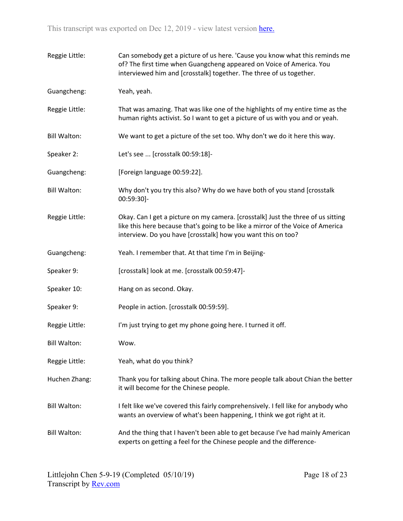| Reggie Little:      | Can somebody get a picture of us here. 'Cause you know what this reminds me<br>of? The first time when Guangcheng appeared on Voice of America. You<br>interviewed him and [crosstalk] together. The three of us together.          |
|---------------------|-------------------------------------------------------------------------------------------------------------------------------------------------------------------------------------------------------------------------------------|
| Guangcheng:         | Yeah, yeah.                                                                                                                                                                                                                         |
| Reggie Little:      | That was amazing. That was like one of the highlights of my entire time as the<br>human rights activist. So I want to get a picture of us with you and or yeah.                                                                     |
| <b>Bill Walton:</b> | We want to get a picture of the set too. Why don't we do it here this way.                                                                                                                                                          |
| Speaker 2:          | Let's see  [crosstalk 00:59:18]-                                                                                                                                                                                                    |
| Guangcheng:         | [Foreign language 00:59:22].                                                                                                                                                                                                        |
| <b>Bill Walton:</b> | Why don't you try this also? Why do we have both of you stand [crosstalk<br>00:59:30]-                                                                                                                                              |
| Reggie Little:      | Okay. Can I get a picture on my camera. [crosstalk] Just the three of us sitting<br>like this here because that's going to be like a mirror of the Voice of America<br>interview. Do you have [crosstalk] how you want this on too? |
| Guangcheng:         | Yeah. I remember that. At that time I'm in Beijing-                                                                                                                                                                                 |
| Speaker 9:          | [crosstalk] look at me. [crosstalk 00:59:47]-                                                                                                                                                                                       |
| Speaker 10:         | Hang on as second. Okay.                                                                                                                                                                                                            |
| Speaker 9:          | People in action. [crosstalk 00:59:59].                                                                                                                                                                                             |
| Reggie Little:      | I'm just trying to get my phone going here. I turned it off.                                                                                                                                                                        |
| <b>Bill Walton:</b> | Wow.                                                                                                                                                                                                                                |
| Reggie Little:      | Yeah, what do you think?                                                                                                                                                                                                            |
| Huchen Zhang:       | Thank you for talking about China. The more people talk about Chian the better<br>it will become for the Chinese people.                                                                                                            |
| <b>Bill Walton:</b> | I felt like we've covered this fairly comprehensively. I fell like for anybody who<br>wants an overview of what's been happening, I think we got right at it.                                                                       |
| <b>Bill Walton:</b> | And the thing that I haven't been able to get because I've had mainly American<br>experts on getting a feel for the Chinese people and the difference-                                                                              |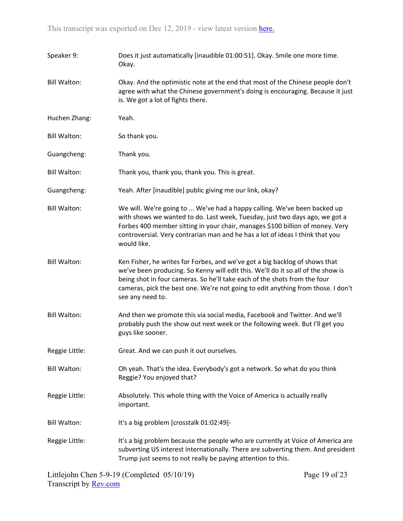| Speaker 9:          | Does it just automatically [inaudible 01:00:51]. Okay. Smile one more time.<br>Okay.                                                                                                                                                                                                                                                                 |
|---------------------|------------------------------------------------------------------------------------------------------------------------------------------------------------------------------------------------------------------------------------------------------------------------------------------------------------------------------------------------------|
| <b>Bill Walton:</b> | Okay. And the optimistic note at the end that most of the Chinese people don't<br>agree with what the Chinese government's doing is encouraging. Because it just<br>is. We got a lot of fights there.                                                                                                                                                |
| Huchen Zhang:       | Yeah.                                                                                                                                                                                                                                                                                                                                                |
| <b>Bill Walton:</b> | So thank you.                                                                                                                                                                                                                                                                                                                                        |
| Guangcheng:         | Thank you.                                                                                                                                                                                                                                                                                                                                           |
| <b>Bill Walton:</b> | Thank you, thank you, thank you. This is great.                                                                                                                                                                                                                                                                                                      |
| Guangcheng:         | Yeah. After [inaudible] public giving me our link, okay?                                                                                                                                                                                                                                                                                             |
| <b>Bill Walton:</b> | We will. We're going to  We've had a happy calling. We've been backed up<br>with shows we wanted to do. Last week, Tuesday, just two days ago, we got a<br>Forbes 400 member sitting in your chair, manages \$100 billion of money. Very<br>controversial. Very contrarian man and he has a lot of ideas I think that you<br>would like.             |
| <b>Bill Walton:</b> | Ken Fisher, he writes for Forbes, and we've got a big backlog of shows that<br>we've been producing. So Kenny will edit this. We'll do it so all of the show is<br>being shot in four cameras. So he'll take each of the shots from the four<br>cameras, pick the best one. We're not going to edit anything from those. I don't<br>see any need to. |
| <b>Bill Walton:</b> | And then we promote this via social media, Facebook and Twitter. And we'll<br>probably push the show out next week or the following week. But I'll get you<br>guys like sooner.                                                                                                                                                                      |
| Reggie Little:      | Great. And we can push it out ourselves.                                                                                                                                                                                                                                                                                                             |
| <b>Bill Walton:</b> | Oh yeah. That's the idea. Everybody's got a network. So what do you think<br>Reggie? You enjoyed that?                                                                                                                                                                                                                                               |
| Reggie Little:      | Absolutely. This whole thing with the Voice of America is actually really<br>important.                                                                                                                                                                                                                                                              |
| <b>Bill Walton:</b> | It's a big problem [crosstalk 01:02:49]-                                                                                                                                                                                                                                                                                                             |
| Reggie Little:      | It's a big problem because the people who are currently at Voice of America are<br>subverting US interest internationally. There are subverting them. And president<br>Trump just seems to not really be paying attention to this.                                                                                                                   |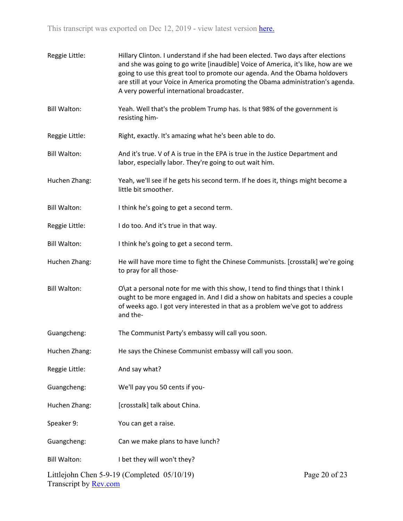| Reggie Little:               | Hillary Clinton. I understand if she had been elected. Two days after elections<br>and she was going to go write [inaudible] Voice of America, it's like, how are we<br>going to use this great tool to promote our agenda. And the Obama holdovers<br>are still at your Voice in America promoting the Obama administration's agenda.<br>A very powerful international broadcaster. |               |
|------------------------------|--------------------------------------------------------------------------------------------------------------------------------------------------------------------------------------------------------------------------------------------------------------------------------------------------------------------------------------------------------------------------------------|---------------|
| <b>Bill Walton:</b>          | Yeah. Well that's the problem Trump has. Is that 98% of the government is<br>resisting him-                                                                                                                                                                                                                                                                                          |               |
| Reggie Little:               | Right, exactly. It's amazing what he's been able to do.                                                                                                                                                                                                                                                                                                                              |               |
| <b>Bill Walton:</b>          | And it's true. V of A is true in the EPA is true in the Justice Department and<br>labor, especially labor. They're going to out wait him.                                                                                                                                                                                                                                            |               |
| Huchen Zhang:                | Yeah, we'll see if he gets his second term. If he does it, things might become a<br>little bit smoother.                                                                                                                                                                                                                                                                             |               |
| <b>Bill Walton:</b>          | I think he's going to get a second term.                                                                                                                                                                                                                                                                                                                                             |               |
| Reggie Little:               | I do too. And it's true in that way.                                                                                                                                                                                                                                                                                                                                                 |               |
| <b>Bill Walton:</b>          | I think he's going to get a second term.                                                                                                                                                                                                                                                                                                                                             |               |
| Huchen Zhang:                | He will have more time to fight the Chinese Communists. [crosstalk] we're going<br>to pray for all those-                                                                                                                                                                                                                                                                            |               |
| <b>Bill Walton:</b>          | O\at a personal note for me with this show, I tend to find things that I think I<br>ought to be more engaged in. And I did a show on habitats and species a couple<br>of weeks ago. I got very interested in that as a problem we've got to address<br>and the-                                                                                                                      |               |
| Guangcheng:                  | The Communist Party's embassy will call you soon.                                                                                                                                                                                                                                                                                                                                    |               |
| Huchen Zhang:                | He says the Chinese Communist embassy will call you soon.                                                                                                                                                                                                                                                                                                                            |               |
| Reggie Little:               | And say what?                                                                                                                                                                                                                                                                                                                                                                        |               |
| Guangcheng:                  | We'll pay you 50 cents if you-                                                                                                                                                                                                                                                                                                                                                       |               |
| Huchen Zhang:                | [crosstalk] talk about China.                                                                                                                                                                                                                                                                                                                                                        |               |
| Speaker 9:                   | You can get a raise.                                                                                                                                                                                                                                                                                                                                                                 |               |
| Guangcheng:                  | Can we make plans to have lunch?                                                                                                                                                                                                                                                                                                                                                     |               |
| <b>Bill Walton:</b>          | I bet they will won't they?                                                                                                                                                                                                                                                                                                                                                          |               |
| Transcript by <b>Rev.com</b> | Littlejohn Chen $5-9-19$ (Completed $05/10/19$ )                                                                                                                                                                                                                                                                                                                                     | Page 20 of 23 |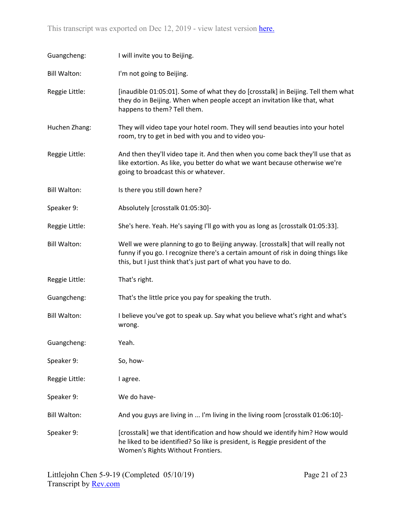| Guangcheng:         | I will invite you to Beijing.                                                                                                                                                                                                            |
|---------------------|------------------------------------------------------------------------------------------------------------------------------------------------------------------------------------------------------------------------------------------|
| <b>Bill Walton:</b> | I'm not going to Beijing.                                                                                                                                                                                                                |
| Reggie Little:      | [inaudible 01:05:01]. Some of what they do [crosstalk] in Beijing. Tell them what<br>they do in Beijing. When when people accept an invitation like that, what<br>happens to them? Tell them.                                            |
| Huchen Zhang:       | They will video tape your hotel room. They will send beauties into your hotel<br>room, try to get in bed with you and to video you-                                                                                                      |
| Reggie Little:      | And then they'll video tape it. And then when you come back they'll use that as<br>like extortion. As like, you better do what we want because otherwise we're<br>going to broadcast this or whatever.                                   |
| <b>Bill Walton:</b> | Is there you still down here?                                                                                                                                                                                                            |
| Speaker 9:          | Absolutely [crosstalk 01:05:30]-                                                                                                                                                                                                         |
| Reggie Little:      | She's here. Yeah. He's saying I'll go with you as long as [crosstalk 01:05:33].                                                                                                                                                          |
| <b>Bill Walton:</b> | Well we were planning to go to Beijing anyway. [crosstalk] that will really not<br>funny if you go. I recognize there's a certain amount of risk in doing things like<br>this, but I just think that's just part of what you have to do. |
| Reggie Little:      | That's right.                                                                                                                                                                                                                            |
| Guangcheng:         | That's the little price you pay for speaking the truth.                                                                                                                                                                                  |
| <b>Bill Walton:</b> | I believe you've got to speak up. Say what you believe what's right and what's<br>wrong.                                                                                                                                                 |
| Guangcheng:         | Yeah.                                                                                                                                                                                                                                    |
| Speaker 9:          | So, how-                                                                                                                                                                                                                                 |
| Reggie Little:      | I agree.                                                                                                                                                                                                                                 |
| Speaker 9:          | We do have-                                                                                                                                                                                                                              |
| <b>Bill Walton:</b> | And you guys are living in  I'm living in the living room [crosstalk 01:06:10]-                                                                                                                                                          |
| Speaker 9:          | [crosstalk] we that identification and how should we identify him? How would<br>he liked to be identified? So like is president, is Reggie president of the<br>Women's Rights Without Frontiers.                                         |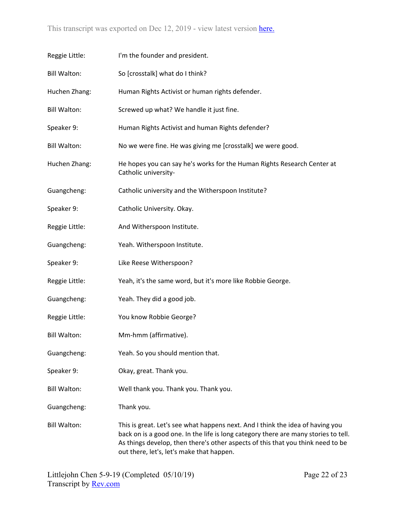| Reggie Little:      | I'm the founder and president.                                                                                                                                                                                                                                                                        |
|---------------------|-------------------------------------------------------------------------------------------------------------------------------------------------------------------------------------------------------------------------------------------------------------------------------------------------------|
| <b>Bill Walton:</b> | So [crosstalk] what do I think?                                                                                                                                                                                                                                                                       |
| Huchen Zhang:       | Human Rights Activist or human rights defender.                                                                                                                                                                                                                                                       |
| <b>Bill Walton:</b> | Screwed up what? We handle it just fine.                                                                                                                                                                                                                                                              |
| Speaker 9:          | Human Rights Activist and human Rights defender?                                                                                                                                                                                                                                                      |
| <b>Bill Walton:</b> | No we were fine. He was giving me [crosstalk] we were good.                                                                                                                                                                                                                                           |
| Huchen Zhang:       | He hopes you can say he's works for the Human Rights Research Center at<br>Catholic university-                                                                                                                                                                                                       |
| Guangcheng:         | Catholic university and the Witherspoon Institute?                                                                                                                                                                                                                                                    |
| Speaker 9:          | Catholic University. Okay.                                                                                                                                                                                                                                                                            |
| Reggie Little:      | And Witherspoon Institute.                                                                                                                                                                                                                                                                            |
| Guangcheng:         | Yeah. Witherspoon Institute.                                                                                                                                                                                                                                                                          |
| Speaker 9:          | Like Reese Witherspoon?                                                                                                                                                                                                                                                                               |
| Reggie Little:      | Yeah, it's the same word, but it's more like Robbie George.                                                                                                                                                                                                                                           |
| Guangcheng:         | Yeah. They did a good job.                                                                                                                                                                                                                                                                            |
| Reggie Little:      | You know Robbie George?                                                                                                                                                                                                                                                                               |
| <b>Bill Walton:</b> | Mm-hmm (affirmative).                                                                                                                                                                                                                                                                                 |
| Guangcheng:         | Yeah. So you should mention that.                                                                                                                                                                                                                                                                     |
| Speaker 9:          | Okay, great. Thank you.                                                                                                                                                                                                                                                                               |
| <b>Bill Walton:</b> | Well thank you. Thank you. Thank you.                                                                                                                                                                                                                                                                 |
| Guangcheng:         | Thank you.                                                                                                                                                                                                                                                                                            |
| <b>Bill Walton:</b> | This is great. Let's see what happens next. And I think the idea of having you<br>back on is a good one. In the life is long category there are many stories to tell.<br>As things develop, then there's other aspects of this that you think need to be<br>out there, let's, let's make that happen. |